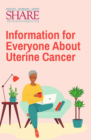

# **Information for Everyone About Uterine Cancer**

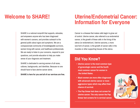#### SHARE is a national nonprofit that supports, educates, and empowers anyone who has been diagnosed with women's cancers, and provides outreach to the general public about signs and symptoms. We are a compassionate community of knowledgeable survivors, women living with cancer, and healthcare professionals. We are ready to listen to your concerns, respond to your questions, and provide education to help you make sense of your diagnosis and treatment.

SHARE is dedicated to serving women of all races, cultures, backgrounds, and identities. Because no one should have to face uterine cancer alone.

**SHARE is here for you and all of our services are free.**

#### **Welcome to SHARE! Uterine/Endometrial Cancer: Information for Everyone**

Cancer is a disease that makes cells begin to grow out of control. Uterine cancer, also referred to as endometrial cancer, is the growth of these cells in the lining of the uterus (or endometrium). Uterine sarcoma, a more rare form of cancer, is the growth of cancer cells in the muscles or other supporting tissues of the uterus.

#### **Did You Know?**

- **• Uterine cancer is the most common type of gynecologic cancer and the fourth most common cancer for women in the United States.**
- **• Black women are more often diagnosed with advanced uterine cancer or more aggressive types which may affect their chance of survival.**
- **• The Pap Smear test does not screen for uterine cancer. The only cancer the Pap Smear test screens for is cervical cancer.**

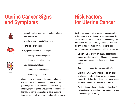## **Uterine Cancer Signs and Symptoms**



- Vaginal bleeding, spotting or brownish discharge after menopause
- Irregular or heavy bleeding in younger women
- Pelvic pain or pressure
- Symptoms common in later stages:
	- Feeling a mass in the pelvis
	- Losing weight without trying
- Less common symptoms:
	- Difficult or painful urination
	- Pain during intercourse

Although these symptoms can be caused by factors other than cancer, it's important to be evaluated by a gynecologist who may recommend additional testing. Bleeding after menopause always needs evaluation. The diagnosis of uterine cancer often relies on obtaining a tissue sample through a surgical procedure called a biopsy.

## **Risk Factors for Uterine Cancer**

A risk factor is anything that increases a person's chance of developing a certain illness. Having one or more risk factors associated with a disease does not mean you will develop that disease. Discussing risk factors with your doctor may help you make informed lifestyle choices including preventative measures appropriate to your risk.

- **Obesity** Being overweight can increase uterine cancer risk; uterine cancer is 3 times more common among obese women than those at a healthier weight.
- Age Uterine cancer risk increases with age.
- **Genetics** Lynch Syndrome is a hereditary cancer syndrome that is linked to an increase in uterine cancer. The lifetime risk of developing uterine cancer for women with Lynch Syndrome is 40%-60%.
- **Family History** If several family members have/ had uterine cancer, your healthcare professional may recommend genetic testing.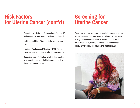## **Risk Factors for Uterine Cancer (cont'd)**

- **Reproductive History** Menstruation before age 12 and menopause after age 55 may have a higher risk.
- **Nutrition and Diet** Diets high in fat can increase risk.
- **Hormone Replacement Therapy (HRT)** Taking estrogen alone, without progestin, can increase risk.
- **Tamoxifen Use** Tamoxifen, which is often used to treat breast cancer, can slightly increase the risk of developing uterine cancer.

## **Screening for Uterine Cancer**

There is no standard screening test for uterine cancer for women without symptoms. Some tests and procedures that can be used to diagnose endometrial cancer or uterine sarcoma include: pelvic examination, transvaginal ultrasound, endometrial biopsy, hysteroscopy and dilation and curettage (D&C).